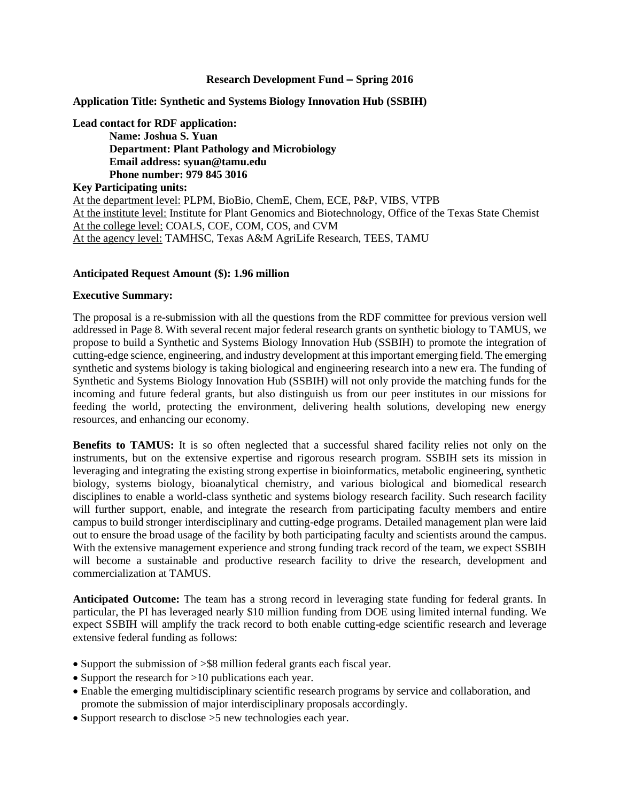## **Research Development Fund – Spring 2016**

**Application Title: Synthetic and Systems Biology Innovation Hub (SSBIH)**

**Lead contact for RDF application: Name: Joshua S. Yuan Department: Plant Pathology and Microbiology Email address: syuan@tamu.edu Phone number: 979 845 3016 Key Participating units:** At the department level: PLPM, BioBio, ChemE, Chem, ECE, P&P, VIBS, VTPB At the institute level: Institute for Plant Genomics and Biotechnology, Office of the Texas State Chemist At the college level: COALS, COE, COM, COS, and CVM At the agency level: TAMHSC, Texas A&M AgriLife Research, TEES, TAMU

## **Anticipated Request Amount (\$): 1.96 million**

## **Executive Summary:**

The proposal is a re-submission with all the questions from the RDF committee for previous version well addressed in Page 8. With several recent major federal research grants on synthetic biology to TAMUS, we propose to build a Synthetic and Systems Biology Innovation Hub (SSBIH) to promote the integration of cutting-edge science, engineering, and industry development at this important emerging field. The emerging synthetic and systems biology is taking biological and engineering research into a new era. The funding of Synthetic and Systems Biology Innovation Hub (SSBIH) will not only provide the matching funds for the incoming and future federal grants, but also distinguish us from our peer institutes in our missions for feeding the world, protecting the environment, delivering health solutions, developing new energy resources, and enhancing our economy.

**Benefits to TAMUS:** It is so often neglected that a successful shared facility relies not only on the instruments, but on the extensive expertise and rigorous research program. SSBIH sets its mission in leveraging and integrating the existing strong expertise in bioinformatics, metabolic engineering, synthetic biology, systems biology, bioanalytical chemistry, and various biological and biomedical research disciplines to enable a world-class synthetic and systems biology research facility. Such research facility will further support, enable, and integrate the research from participating faculty members and entire campus to build stronger interdisciplinary and cutting-edge programs. Detailed management plan were laid out to ensure the broad usage of the facility by both participating faculty and scientists around the campus. With the extensive management experience and strong funding track record of the team, we expect SSBIH will become a sustainable and productive research facility to drive the research, development and commercialization at TAMUS.

**Anticipated Outcome:** The team has a strong record in leveraging state funding for federal grants. In particular, the PI has leveraged nearly \$10 million funding from DOE using limited internal funding. We expect SSBIH will amplify the track record to both enable cutting-edge scientific research and leverage extensive federal funding as follows:

- Support the submission of > \$8 million federal grants each fiscal year.
- Support the research for  $>10$  publications each year.
- Enable the emerging multidisciplinary scientific research programs by service and collaboration, and promote the submission of major interdisciplinary proposals accordingly.
- Support research to disclose > 5 new technologies each year.